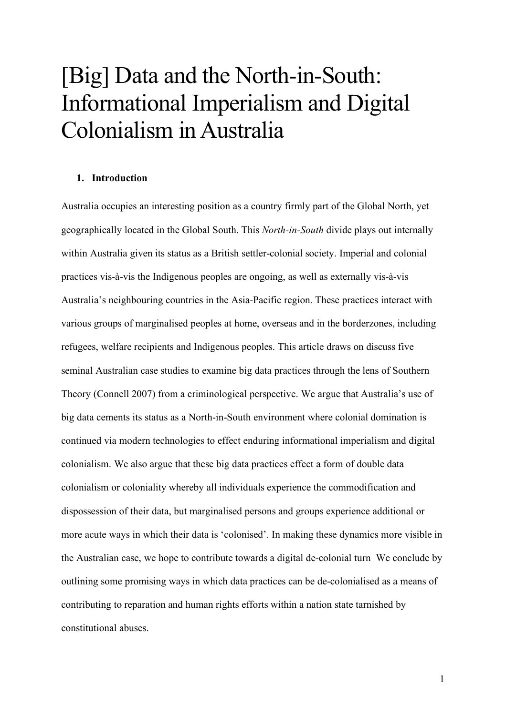# [Big] Data and the North-in-South: Informational Imperialism and Digital Colonialism in Australia

#### **1. Introduction**

Australia occupies an interesting position as a country firmly part of the Global North, yet geographically located in the Global South. This *North-in-South* divide plays out internally within Australia given its status as a British settler-colonial society. Imperial and colonial practices vis-à-vis the Indigenous peoples are ongoing, as well as externally vis-à-vis Australia's neighbouring countries in the Asia-Pacific region. These practices interact with various groups of marginalised peoples at home, overseas and in the borderzones, including refugees, welfare recipients and Indigenous peoples. This article draws on discuss five seminal Australian case studies to examine big data practices through the lens of Southern Theory (Connell 2007) from a criminological perspective. We argue that Australia's use of big data cements its status as a North-in-South environment where colonial domination is continued via modern technologies to effect enduring informational imperialism and digital colonialism. We also argue that these big data practices effect a form of double data colonialism or coloniality whereby all individuals experience the commodification and dispossession of their data, but marginalised persons and groups experience additional or more acute ways in which their data is 'colonised'. In making these dynamics more visible in the Australian case, we hope to contribute towards a digital de-colonial turn We conclude by outlining some promising ways in which data practices can be de-colonialised as a means of contributing to reparation and human rights efforts within a nation state tarnished by constitutional abuses.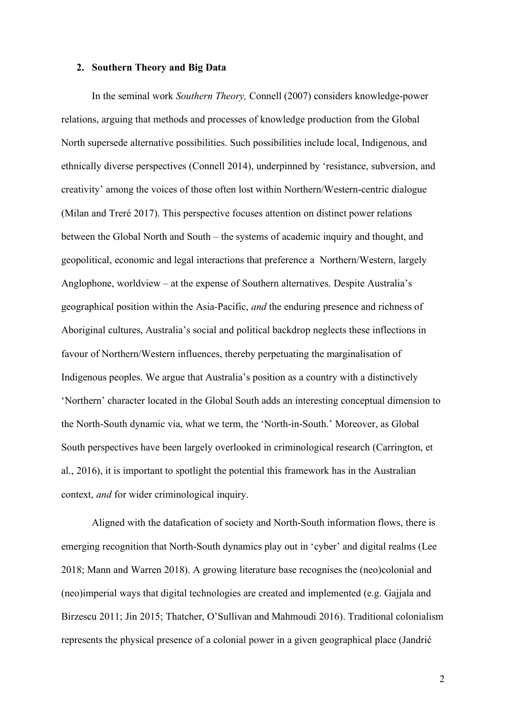#### **2. Southern Theory and Big Data**

In the seminal work *Southern Theory,* Connell (2007) considers knowledge-power relations, arguing that methods and processes of knowledge production from the Global North supersede alternative possibilities. Such possibilities include local, Indigenous, and ethnically diverse perspectives (Connell 2014), underpinned by 'resistance, subversion, and creativity' among the voices of those often lost within Northern/Western-centric dialogue (Milan and Treré 2017). This perspective focuses attention on distinct power relations between the Global North and South – the systems of academic inquiry and thought, and geopolitical, economic and legal interactions that preference a Northern/Western, largely Anglophone, worldview – at the expense of Southern alternatives. Despite Australia's geographical position within the Asia-Pacific, *and* the enduring presence and richness of Aboriginal cultures, Australia's social and political backdrop neglects these inflections in favour of Northern/Western influences, thereby perpetuating the marginalisation of Indigenous peoples. We argue that Australia's position as a country with a distinctively 'Northern' character located in the Global South adds an interesting conceptual dimension to the North-South dynamic via, what we term, the 'North-in-South.' Moreover, as Global South perspectives have been largely overlooked in criminological research (Carrington, et al., 2016), it is important to spotlight the potential this framework has in the Australian context, *and* for wider criminological inquiry.

Aligned with the datafication of society and North-South information flows, there is emerging recognition that North-South dynamics play out in 'cyber' and digital realms (Lee 2018; Mann and Warren 2018). A growing literature base recognises the (neo)colonial and (neo)imperial ways that digital technologies are created and implemented (e.g. Gajjala and Birzescu 2011; Jin 2015; Thatcher, O'Sullivan and Mahmoudi 2016). Traditional colonialism represents the physical presence of a colonial power in a given geographical place (Jandrić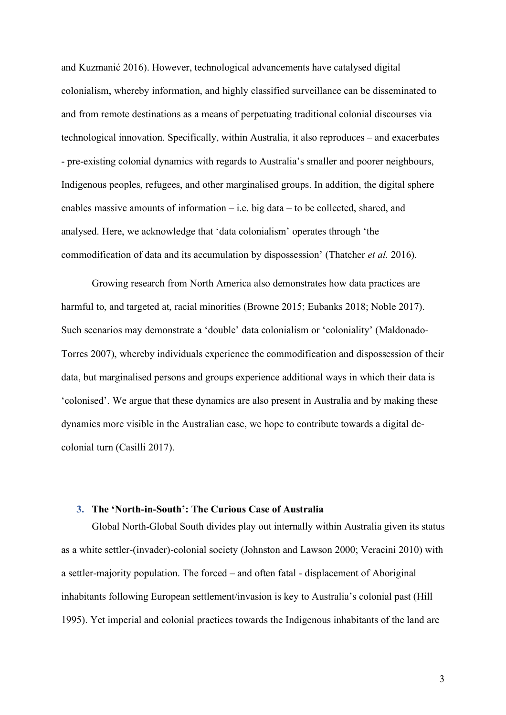and Kuzmanić 2016). However, technological advancements have catalysed digital colonialism, whereby information, and highly classified surveillance can be disseminated to and from remote destinations as a means of perpetuating traditional colonial discourses via technological innovation. Specifically, within Australia, it also reproduces – and exacerbates - pre-existing colonial dynamics with regards to Australia's smaller and poorer neighbours, Indigenous peoples, refugees, and other marginalised groups. In addition, the digital sphere enables massive amounts of information – i.e. big data – to be collected, shared, and analysed. Here, we acknowledge that 'data colonialism' operates through 'the commodification of data and its accumulation by dispossession' (Thatcher *et al.* 2016).

Growing research from North America also demonstrates how data practices are harmful to, and targeted at, racial minorities (Browne 2015; Eubanks 2018; Noble 2017). Such scenarios may demonstrate a 'double' data colonialism or 'coloniality' (Maldonado-Torres 2007), whereby individuals experience the commodification and dispossession of their data, but marginalised persons and groups experience additional ways in which their data is 'colonised'. We argue that these dynamics are also present in Australia and by making these dynamics more visible in the Australian case, we hope to contribute towards a digital decolonial turn (Casilli 2017).

# **3. The 'North-in-South': The Curious Case of Australia**

Global North-Global South divides play out internally within Australia given its status as a white settler-(invader)-colonial society (Johnston and Lawson 2000; Veracini 2010) with a settler-majority population. The forced – and often fatal - displacement of Aboriginal inhabitants following European settlement/invasion is key to Australia's colonial past (Hill 1995). Yet imperial and colonial practices towards the Indigenous inhabitants of the land are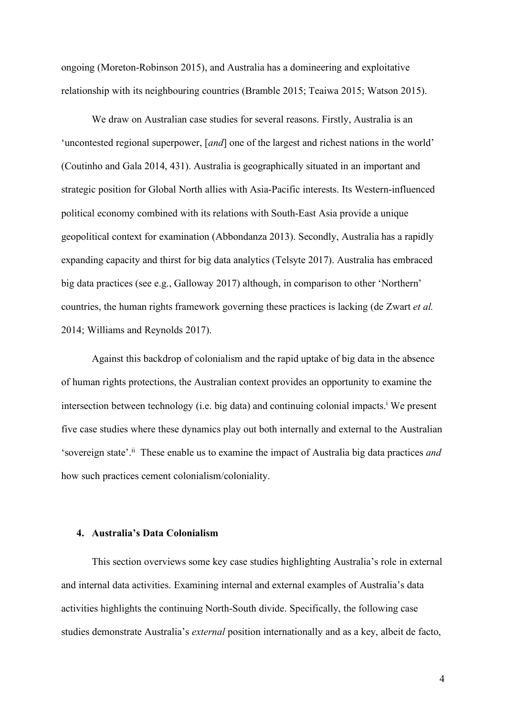ongoing (Moreton-Robinson 2015), and Australia has a domineering and exploitative relationship with its neighbouring countries (Bramble 2015; Teaiwa 2015; Watson 2015).

We draw on Australian case studies for several reasons. Firstly, Australia is an 'uncontested regional superpower, [*and*] one of the largest and richest nations in the world' (Coutinho and Gala 2014, 431). Australia is geographically situated in an important and strategic position for Global North allies with Asia-Pacific interests. Its Western-influenced political economy combined with its relations with South-East Asia provide a unique geopolitical context for examination (Abbondanza 2013). Secondly, Australia has a rapidly expanding capacity and thirst for big data analytics (Telsyte 2017). Australia has embraced big data practices (see e.g., Galloway 2017) although, in comparison to other 'Northern' countries, the human rights framework governing these practices is lacking (de Zwart *et al.* 2014; Williams and Reynolds 2017).

Against this backdrop of colonialism and the rapid uptake of big data in the absence of human rights protections, the Australian context provides an opportunity to examine the intersection between technology (i.e. big data) and continuing colonial impacts.<sup>i</sup> We present five case studies where these dynamics play out both internally and external to the Australian 'sovereign state'. ii These enable us to examine the impact of Australia big data practices *and*  how such practices cement colonialism/coloniality.

#### **4. Australia's Data Colonialism**

This section overviews some key case studies highlighting Australia's role in external and internal data activities. Examining internal and external examples of Australia's data activities highlights the continuing North-South divide. Specifically, the following case studies demonstrate Australia's *external* position internationally and as a key, albeit de facto,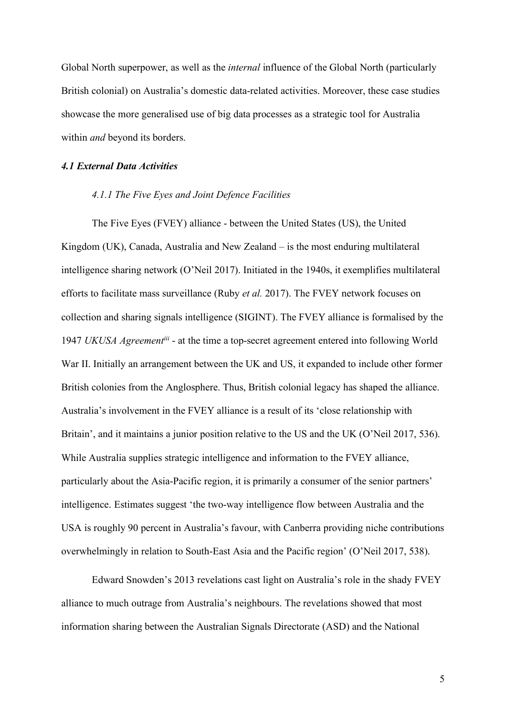Global North superpower, as well as the *internal* influence of the Global North (particularly British colonial) on Australia's domestic data-related activities. Moreover, these case studies showcase the more generalised use of big data processes as a strategic tool for Australia within *and* beyond its borders.

#### *4.1 External Data Activities*

#### *4.1.1 The Five Eyes and Joint Defence Facilities*

The Five Eyes (FVEY) alliance - between the United States (US), the United Kingdom (UK), Canada, Australia and New Zealand – is the most enduring multilateral intelligence sharing network (O'Neil 2017). Initiated in the 1940s, it exemplifies multilateral efforts to facilitate mass surveillance (Ruby *et al.* 2017). The FVEY network focuses on collection and sharing signals intelligence (SIGINT). The FVEY alliance is formalised by the 1947 *UKUSA Agreementiii* - at the time a top-secret agreement entered into following World War II. Initially an arrangement between the UK and US, it expanded to include other former British colonies from the Anglosphere. Thus, British colonial legacy has shaped the alliance. Australia's involvement in the FVEY alliance is a result of its 'close relationship with Britain', and it maintains a junior position relative to the US and the UK (O'Neil 2017, 536). While Australia supplies strategic intelligence and information to the FVEY alliance, particularly about the Asia-Pacific region, it is primarily a consumer of the senior partners' intelligence. Estimates suggest 'the two-way intelligence flow between Australia and the USA is roughly 90 percent in Australia's favour, with Canberra providing niche contributions overwhelmingly in relation to South-East Asia and the Pacific region' (O'Neil 2017, 538).

Edward Snowden's 2013 revelations cast light on Australia's role in the shady FVEY alliance to much outrage from Australia's neighbours. The revelations showed that most information sharing between the Australian Signals Directorate (ASD) and the National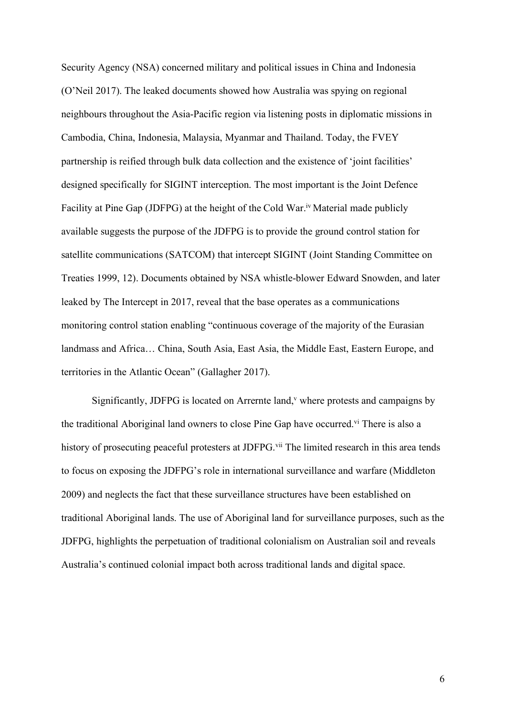Security Agency (NSA) concerned military and political issues in China and Indonesia (O'Neil 2017). The leaked documents showed how Australia was spying on regional neighbours throughout the Asia-Pacific region via listening posts in diplomatic missions in Cambodia, China, Indonesia, Malaysia, Myanmar and Thailand. Today, the FVEY partnership is reified through bulk data collection and the existence of 'joint facilities' designed specifically for SIGINT interception. The most important is the Joint Defence Facility at Pine Gap (JDFPG) at the height of the Cold War.iv Material made publicly available suggests the purpose of the JDFPG is to provide the ground control station for satellite communications (SATCOM) that intercept SIGINT (Joint Standing Committee on Treaties 1999, 12). Documents obtained by NSA whistle-blower Edward Snowden, and later leaked by The Intercept in 2017, reveal that the base operates as a communications monitoring control station enabling "continuous coverage of the majority of the Eurasian landmass and Africa… China, South Asia, East Asia, the Middle East, Eastern Europe, and territories in the Atlantic Ocean" (Gallagher 2017).

Significantly, JDFPG is located on Arrernte land, <sup>v</sup> where protests and campaigns by the traditional Aboriginal land owners to close Pine Gap have occurred.<sup>vi</sup> There is also a history of prosecuting peaceful protesters at JDFPG.<sup>vii</sup> The limited research in this area tends to focus on exposing the JDFPG's role in international surveillance and warfare (Middleton 2009) and neglects the fact that these surveillance structures have been established on traditional Aboriginal lands. The use of Aboriginal land for surveillance purposes, such as the JDFPG, highlights the perpetuation of traditional colonialism on Australian soil and reveals Australia's continued colonial impact both across traditional lands and digital space.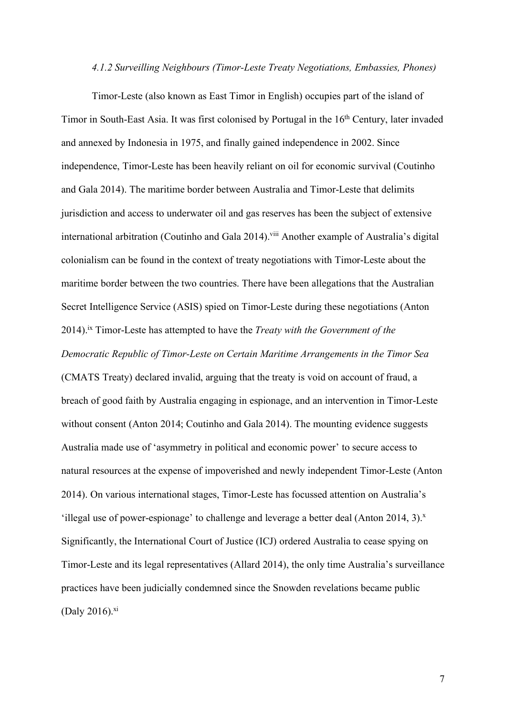#### *4.1.2 Surveilling Neighbours (Timor-Leste Treaty Negotiations, Embassies, Phones)*

Timor-Leste (also known as East Timor in English) occupies part of the island of Timor in South-East Asia. It was first colonised by Portugal in the 16th Century, later invaded and annexed by Indonesia in 1975, and finally gained independence in 2002. Since independence, Timor-Leste has been heavily reliant on oil for economic survival (Coutinho and Gala 2014). The maritime border between Australia and Timor-Leste that delimits jurisdiction and access to underwater oil and gas reserves has been the subject of extensive international arbitration (Coutinho and Gala 2014).<sup>viii</sup> Another example of Australia's digital colonialism can be found in the context of treaty negotiations with Timor-Leste about the maritime border between the two countries. There have been allegations that the Australian Secret Intelligence Service (ASIS) spied on Timor-Leste during these negotiations (Anton 2014).ix Timor-Leste has attempted to have the *Treaty with the Government of the Democratic Republic of Timor-Leste on Certain Maritime Arrangements in the Timor Sea*  (CMATS Treaty) declared invalid, arguing that the treaty is void on account of fraud, a breach of good faith by Australia engaging in espionage, and an intervention in Timor-Leste without consent (Anton 2014; Coutinho and Gala 2014). The mounting evidence suggests Australia made use of 'asymmetry in political and economic power' to secure access to natural resources at the expense of impoverished and newly independent Timor-Leste (Anton 2014). On various international stages, Timor-Leste has focussed attention on Australia's 'illegal use of power-espionage' to challenge and leverage a better deal (Anton 2014, 3). $^x$ Significantly, the International Court of Justice (ICJ) ordered Australia to cease spying on Timor-Leste and its legal representatives (Allard 2014), the only time Australia's surveillance practices have been judicially condemned since the Snowden revelations became public (Daly 2016). $x$ i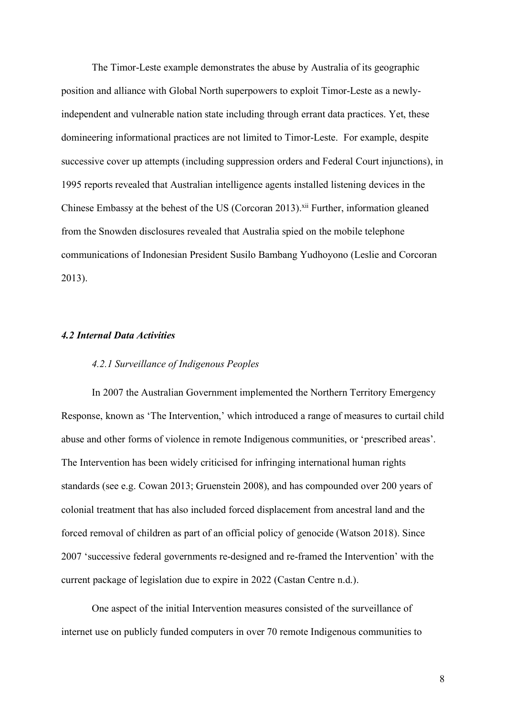The Timor-Leste example demonstrates the abuse by Australia of its geographic position and alliance with Global North superpowers to exploit Timor-Leste as a newlyindependent and vulnerable nation state including through errant data practices. Yet, these domineering informational practices are not limited to Timor-Leste. For example, despite successive cover up attempts (including suppression orders and Federal Court injunctions), in 1995 reports revealed that Australian intelligence agents installed listening devices in the Chinese Embassy at the behest of the US (Corcoran 2013).<sup>xii</sup> Further, information gleaned from the Snowden disclosures revealed that Australia spied on the mobile telephone communications of Indonesian President Susilo Bambang Yudhoyono (Leslie and Corcoran 2013).

#### *4.2 Internal Data Activities*

#### *4.2.1 Surveillance of Indigenous Peoples*

In 2007 the Australian Government implemented the Northern Territory Emergency Response, known as 'The Intervention,' which introduced a range of measures to curtail child abuse and other forms of violence in remote Indigenous communities, or 'prescribed areas'. The Intervention has been widely criticised for infringing international human rights standards (see e.g. Cowan 2013; Gruenstein 2008), and has compounded over 200 years of colonial treatment that has also included forced displacement from ancestral land and the forced removal of children as part of an official policy of genocide (Watson 2018). Since 2007 'successive federal governments re-designed and re-framed the Intervention' with the current package of legislation due to expire in 2022 (Castan Centre n.d.).

One aspect of the initial Intervention measures consisted of the surveillance of internet use on publicly funded computers in over 70 remote Indigenous communities to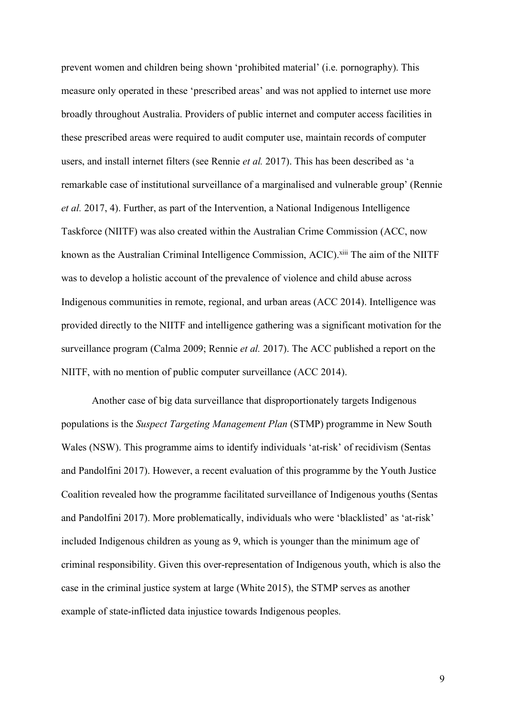prevent women and children being shown 'prohibited material' (i.e. pornography). This measure only operated in these 'prescribed areas' and was not applied to internet use more broadly throughout Australia. Providers of public internet and computer access facilities in these prescribed areas were required to audit computer use, maintain records of computer users, and install internet filters (see Rennie *et al.* 2017). This has been described as 'a remarkable case of institutional surveillance of a marginalised and vulnerable group' (Rennie *et al.* 2017, 4). Further, as part of the Intervention, a National Indigenous Intelligence Taskforce (NIITF) was also created within the Australian Crime Commission (ACC, now known as the Australian Criminal Intelligence Commission, ACIC).<sup>xiii</sup> The aim of the NIITF was to develop a holistic account of the prevalence of violence and child abuse across Indigenous communities in remote, regional, and urban areas (ACC 2014). Intelligence was provided directly to the NIITF and intelligence gathering was a significant motivation for the surveillance program (Calma 2009; Rennie *et al.* 2017). The ACC published a report on the NIITF, with no mention of public computer surveillance (ACC 2014).

Another case of big data surveillance that disproportionately targets Indigenous populations is the *Suspect Targeting Management Plan* (STMP) programme in New South Wales (NSW). This programme aims to identify individuals 'at-risk' of recidivism (Sentas and Pandolfini 2017). However, a recent evaluation of this programme by the Youth Justice Coalition revealed how the programme facilitated surveillance of Indigenous youths (Sentas and Pandolfini 2017). More problematically, individuals who were 'blacklisted' as 'at-risk' included Indigenous children as young as 9, which is younger than the minimum age of criminal responsibility. Given this over-representation of Indigenous youth, which is also the case in the criminal justice system at large (White 2015), the STMP serves as another example of state-inflicted data injustice towards Indigenous peoples.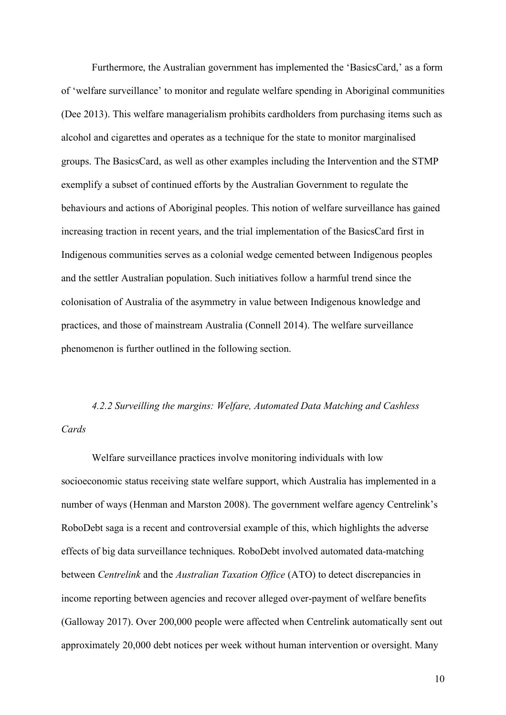Furthermore, the Australian government has implemented the 'BasicsCard,' as a form of 'welfare surveillance' to monitor and regulate welfare spending in Aboriginal communities (Dee 2013). This welfare managerialism prohibits cardholders from purchasing items such as alcohol and cigarettes and operates as a technique for the state to monitor marginalised groups. The BasicsCard, as well as other examples including the Intervention and the STMP exemplify a subset of continued efforts by the Australian Government to regulate the behaviours and actions of Aboriginal peoples. This notion of welfare surveillance has gained increasing traction in recent years, and the trial implementation of the BasicsCard first in Indigenous communities serves as a colonial wedge cemented between Indigenous peoples and the settler Australian population. Such initiatives follow a harmful trend since the colonisation of Australia of the asymmetry in value between Indigenous knowledge and practices, and those of mainstream Australia (Connell 2014). The welfare surveillance phenomenon is further outlined in the following section.

# *4.2.2 Surveilling the margins: Welfare, Automated Data Matching and Cashless Cards*

Welfare surveillance practices involve monitoring individuals with low socioeconomic status receiving state welfare support, which Australia has implemented in a number of ways (Henman and Marston 2008). The government welfare agency Centrelink's RoboDebt saga is a recent and controversial example of this, which highlights the adverse effects of big data surveillance techniques. RoboDebt involved automated data-matching between *Centrelink* and the *Australian Taxation Office* (ATO) to detect discrepancies in income reporting between agencies and recover alleged over-payment of welfare benefits (Galloway 2017). Over 200,000 people were affected when Centrelink automatically sent out approximately 20,000 debt notices per week without human intervention or oversight. Many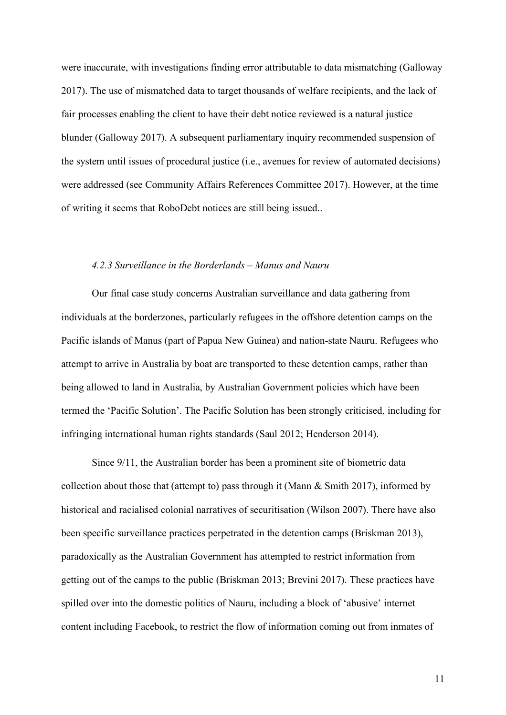were inaccurate, with investigations finding error attributable to data mismatching (Galloway 2017). The use of mismatched data to target thousands of welfare recipients, and the lack of fair processes enabling the client to have their debt notice reviewed is a natural justice blunder (Galloway 2017). A subsequent parliamentary inquiry recommended suspension of the system until issues of procedural justice (i.e., avenues for review of automated decisions) were addressed (see Community Affairs References Committee 2017). However, at the time of writing it seems that RoboDebt notices are still being issued..

### *4.2.3 Surveillance in the Borderlands – Manus and Nauru*

Our final case study concerns Australian surveillance and data gathering from individuals at the borderzones, particularly refugees in the offshore detention camps on the Pacific islands of Manus (part of Papua New Guinea) and nation-state Nauru. Refugees who attempt to arrive in Australia by boat are transported to these detention camps, rather than being allowed to land in Australia, by Australian Government policies which have been termed the 'Pacific Solution'. The Pacific Solution has been strongly criticised, including for infringing international human rights standards (Saul 2012; Henderson 2014).

Since 9/11, the Australian border has been a prominent site of biometric data collection about those that (attempt to) pass through it (Mann & Smith 2017), informed by historical and racialised colonial narratives of securitisation (Wilson 2007). There have also been specific surveillance practices perpetrated in the detention camps (Briskman 2013), paradoxically as the Australian Government has attempted to restrict information from getting out of the camps to the public (Briskman 2013; Brevini 2017). These practices have spilled over into the domestic politics of Nauru, including a block of 'abusive' internet content including Facebook, to restrict the flow of information coming out from inmates of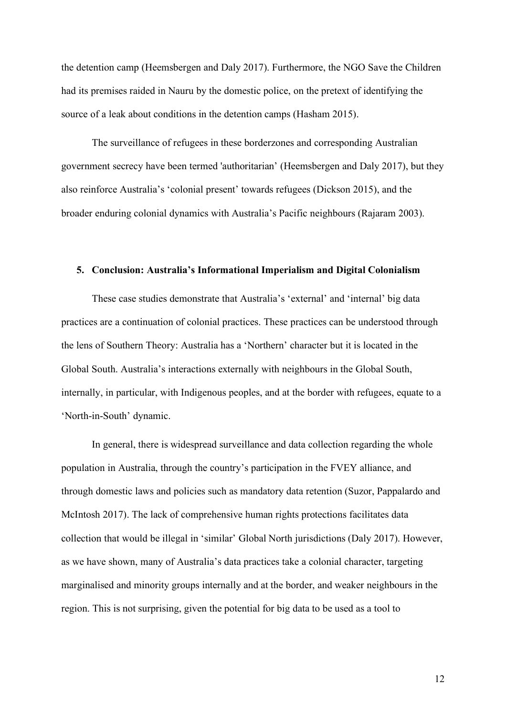the detention camp (Heemsbergen and Daly 2017). Furthermore, the NGO Save the Children had its premises raided in Nauru by the domestic police, on the pretext of identifying the source of a leak about conditions in the detention camps (Hasham 2015).

The surveillance of refugees in these borderzones and corresponding Australian government secrecy have been termed 'authoritarian' (Heemsbergen and Daly 2017), but they also reinforce Australia's 'colonial present' towards refugees (Dickson 2015), and the broader enduring colonial dynamics with Australia's Pacific neighbours (Rajaram 2003).

#### **5. Conclusion: Australia's Informational Imperialism and Digital Colonialism**

These case studies demonstrate that Australia's 'external' and 'internal' big data practices are a continuation of colonial practices. These practices can be understood through the lens of Southern Theory: Australia has a 'Northern' character but it is located in the Global South. Australia's interactions externally with neighbours in the Global South, internally, in particular, with Indigenous peoples, and at the border with refugees, equate to a 'North-in-South' dynamic.

In general, there is widespread surveillance and data collection regarding the whole population in Australia, through the country's participation in the FVEY alliance, and through domestic laws and policies such as mandatory data retention (Suzor, Pappalardo and McIntosh 2017). The lack of comprehensive human rights protections facilitates data collection that would be illegal in 'similar' Global North jurisdictions (Daly 2017). However, as we have shown, many of Australia's data practices take a colonial character, targeting marginalised and minority groups internally and at the border, and weaker neighbours in the region. This is not surprising, given the potential for big data to be used as a tool to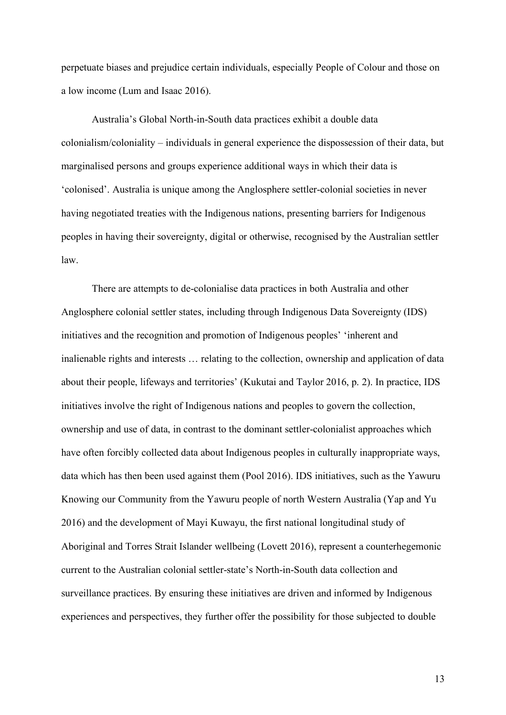perpetuate biases and prejudice certain individuals, especially People of Colour and those on a low income (Lum and Isaac 2016).

Australia's Global North-in-South data practices exhibit a double data colonialism/coloniality – individuals in general experience the dispossession of their data, but marginalised persons and groups experience additional ways in which their data is 'colonised'. Australia is unique among the Anglosphere settler-colonial societies in never having negotiated treaties with the Indigenous nations, presenting barriers for Indigenous peoples in having their sovereignty, digital or otherwise, recognised by the Australian settler law.

There are attempts to de-colonialise data practices in both Australia and other Anglosphere colonial settler states, including through Indigenous Data Sovereignty (IDS) initiatives and the recognition and promotion of Indigenous peoples' 'inherent and inalienable rights and interests … relating to the collection, ownership and application of data about their people, lifeways and territories' (Kukutai and Taylor 2016, p. 2). In practice, IDS initiatives involve the right of Indigenous nations and peoples to govern the collection, ownership and use of data, in contrast to the dominant settler-colonialist approaches which have often forcibly collected data about Indigenous peoples in culturally inappropriate ways, data which has then been used against them (Pool 2016). IDS initiatives, such as the Yawuru Knowing our Community from the Yawuru people of north Western Australia (Yap and Yu 2016) and the development of Mayi Kuwayu, the first national longitudinal study of Aboriginal and Torres Strait Islander wellbeing (Lovett 2016), represent a counterhegemonic current to the Australian colonial settler-state's North-in-South data collection and surveillance practices. By ensuring these initiatives are driven and informed by Indigenous experiences and perspectives, they further offer the possibility for those subjected to double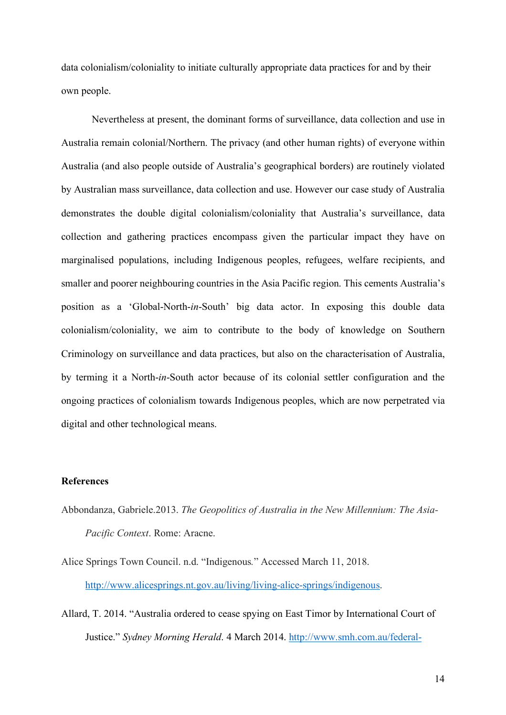data colonialism/coloniality to initiate culturally appropriate data practices for and by their own people.

Nevertheless at present, the dominant forms of surveillance, data collection and use in Australia remain colonial/Northern. The privacy (and other human rights) of everyone within Australia (and also people outside of Australia's geographical borders) are routinely violated by Australian mass surveillance, data collection and use. However our case study of Australia demonstrates the double digital colonialism/coloniality that Australia's surveillance, data collection and gathering practices encompass given the particular impact they have on marginalised populations, including Indigenous peoples, refugees, welfare recipients, and smaller and poorer neighbouring countries in the Asia Pacific region. This cements Australia's position as a 'Global-North-*in*-South' big data actor. In exposing this double data colonialism/coloniality, we aim to contribute to the body of knowledge on Southern Criminology on surveillance and data practices, but also on the characterisation of Australia, by terming it a North-*in*-South actor because of its colonial settler configuration and the ongoing practices of colonialism towards Indigenous peoples, which are now perpetrated via digital and other technological means.

# **References**

- Abbondanza, Gabriele.2013. *The Geopolitics of Australia in the New Millennium: The Asia-Pacific Context*. Rome: Aracne.
- Alice Springs Town Council. n.d. "Indigenous*.*" Accessed March 11, 2018. http://www.alicesprings.nt.gov.au/living/living-alice-springs/indigenous.
- Allard, T. 2014. "Australia ordered to cease spying on East Timor by International Court of Justice." *Sydney Morning Herald*. 4 March 2014. http://www.smh.com.au/federal-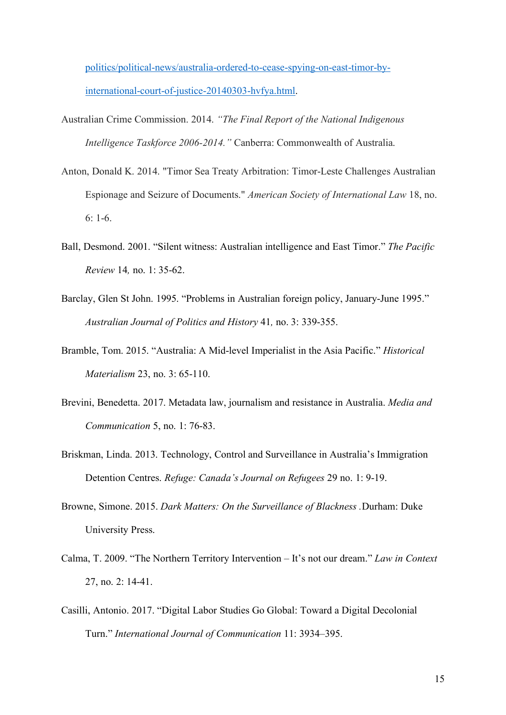politics/political-news/australia-ordered-to-cease-spying-on-east-timor-byinternational-court-of-justice-20140303-hvfya.html.

- Australian Crime Commission. 2014. *"The Final Report of the National Indigenous Intelligence Taskforce 2006-2014."* Canberra: Commonwealth of Australia.
- Anton, Donald K. 2014. "Timor Sea Treaty Arbitration: Timor-Leste Challenges Australian Espionage and Seizure of Documents." *American Society of International Law* 18, no. 6: 1-6.
- Ball, Desmond. 2001. "Silent witness: Australian intelligence and East Timor." *The Pacific Review* 14*,* no. 1: 35-62.
- Barclay, Glen St John. 1995. "Problems in Australian foreign policy, January-June 1995." *Australian Journal of Politics and History* 41*,* no. 3: 339-355.
- Bramble, Tom. 2015. "Australia: A Mid-level Imperialist in the Asia Pacific." *Historical Materialism* 23, no. 3: 65-110.
- Brevini, Benedetta. 2017. Metadata law, journalism and resistance in Australia. *Media and Communication* 5, no. 1: 76-83.
- Briskman, Linda. 2013. Technology, Control and Surveillance in Australia's Immigration Detention Centres. *Refuge: Canada's Journal on Refugees* 29 no. 1: 9-19.
- Browne, Simone. 2015. *Dark Matters: On the Surveillance of Blackness .*Durham: Duke University Press.
- Calma, T. 2009. "The Northern Territory Intervention It's not our dream." *Law in Context* 27, no. 2: 14-41.
- Casilli, Antonio. 2017. "Digital Labor Studies Go Global: Toward a Digital Decolonial Turn." *International Journal of Communication* 11: 3934–395.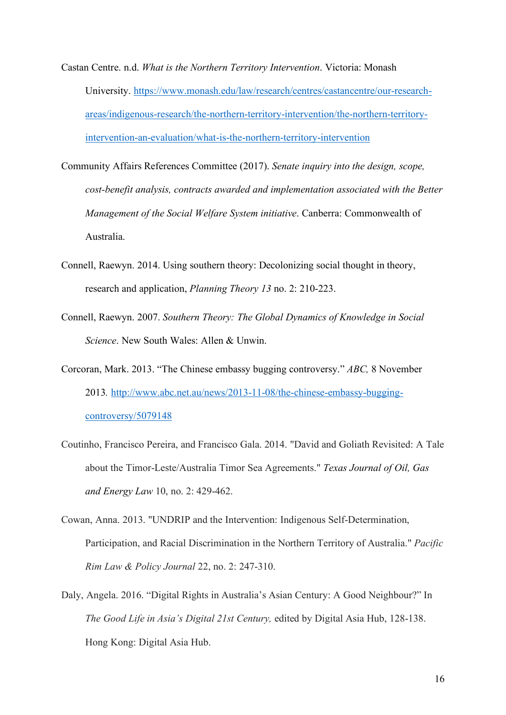- Castan Centre. n.d. *What is the Northern Territory Intervention*. Victoria: Monash University. https://www.monash.edu/law/research/centres/castancentre/our-researchareas/indigenous-research/the-northern-territory-intervention/the-northern-territoryintervention-an-evaluation/what-is-the-northern-territory-intervention
- Community Affairs References Committee (2017). *Senate inquiry into the design, scope, cost-benefit analysis, contracts awarded and implementation associated with the Better Management of the Social Welfare System initiative*. Canberra: Commonwealth of Australia.
- Connell, Raewyn. 2014. Using southern theory: Decolonizing social thought in theory, research and application, *Planning Theory 13* no. 2: 210-223.
- Connell, Raewyn. 2007. *Southern Theory: The Global Dynamics of Knowledge in Social Science*. New South Wales: Allen & Unwin.
- Corcoran, Mark. 2013. "The Chinese embassy bugging controversy." *ABC,* 8 November 2013*.* http://www.abc.net.au/news/2013-11-08/the-chinese-embassy-buggingcontroversy/5079148
- Coutinho, Francisco Pereira, and Francisco Gala. 2014. "David and Goliath Revisited: A Tale about the Timor-Leste/Australia Timor Sea Agreements." *Texas Journal of Oil, Gas and Energy Law* 10, no. 2: 429-462.
- Cowan, Anna. 2013. "UNDRIP and the Intervention: Indigenous Self-Determination, Participation, and Racial Discrimination in the Northern Territory of Australia." *Pacific Rim Law & Policy Journal* 22, no. 2: 247-310.
- Daly, Angela. 2016. "Digital Rights in Australia's Asian Century: A Good Neighbour?" In *The Good Life in Asia's Digital 21st Century,* edited by Digital Asia Hub, 128-138. Hong Kong: Digital Asia Hub.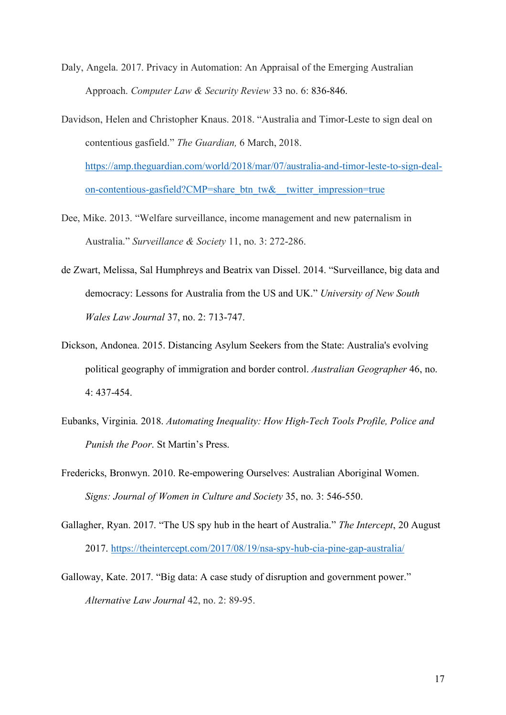- Daly, Angela. 2017. Privacy in Automation: An Appraisal of the Emerging Australian Approach. *Computer Law & Security Review* 33 no. 6: 836-846.
- Davidson, Helen and Christopher Knaus. 2018. "Australia and Timor-Leste to sign deal on contentious gasfield." *The Guardian,* 6 March, 2018. https://amp.theguardian.com/world/2018/mar/07/australia-and-timor-leste-to-sign-dealon-contentious-gasfield?CMP=share btn\_tw&\_\_twitter\_impression=true
- Dee, Mike. 2013. "Welfare surveillance, income management and new paternalism in Australia." *Surveillance & Society* 11, no. 3: 272-286.
- de Zwart, Melissa, Sal Humphreys and Beatrix van Dissel. 2014. "Surveillance, big data and democracy: Lessons for Australia from the US and UK." *University of New South Wales Law Journal* 37, no. 2: 713-747.
- Dickson, Andonea. 2015. Distancing Asylum Seekers from the State: Australia's evolving political geography of immigration and border control. *Australian Geographer* 46, no. 4: 437-454.
- Eubanks, Virginia. 2018. *Automating Inequality: How High-Tech Tools Profile, Police and Punish the Poor*. St Martin's Press.
- Fredericks, Bronwyn. 2010. Re-empowering Ourselves: Australian Aboriginal Women. *Signs: Journal of Women in Culture and Society* 35, no. 3: 546-550.
- Gallagher, Ryan. 2017. "The US spy hub in the heart of Australia." *The Intercept*, 20 August 2017. https://theintercept.com/2017/08/19/nsa-spy-hub-cia-pine-gap-australia/
- Galloway, Kate. 2017. "Big data: A case study of disruption and government power." *Alternative Law Journal* 42, no. 2: 89-95.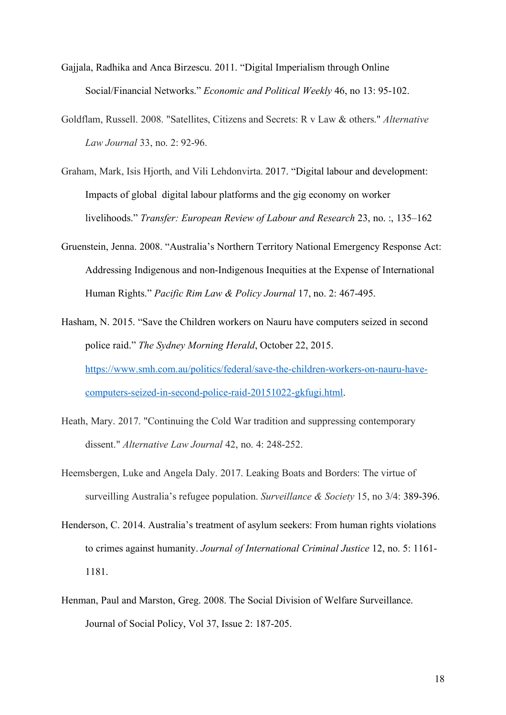- Gajjala, Radhika and Anca Birzescu. 2011. "Digital Imperialism through Online Social/Financial Networks." *Economic and Political Weekly* 46, no 13: 95-102.
- Goldflam, Russell. 2008. "Satellites, Citizens and Secrets: R v Law & others." *Alternative Law Journal* 33, no. 2: 92-96.
- Graham, Mark, Isis Hjorth, and Vili Lehdonvirta. 2017. "Digital labour and development: Impacts of global digital labour platforms and the gig economy on worker livelihoods." *Transfer: European Review of Labour and Research* 23, no. :, 135–162
- Gruenstein, Jenna. 2008. "Australia's Northern Territory National Emergency Response Act: Addressing Indigenous and non-Indigenous Inequities at the Expense of International Human Rights." *Pacific Rim Law & Policy Journal* 17, no. 2: 467-495.
- Hasham, N. 2015. "Save the Children workers on Nauru have computers seized in second police raid." *The Sydney Morning Herald*, October 22, 2015. https://www.smh.com.au/politics/federal/save-the-children-workers-on-nauru-havecomputers-seized-in-second-police-raid-20151022-gkfugi.html.
- Heath, Mary. 2017. "Continuing the Cold War tradition and suppressing contemporary dissent." *Alternative Law Journal* 42, no. 4: 248-252.
- Heemsbergen, Luke and Angela Daly. 2017. Leaking Boats and Borders: The virtue of surveilling Australia's refugee population. *Surveillance & Society* 15, no 3/4: 389-396.
- Henderson, C. 2014. Australia's treatment of asylum seekers: From human rights violations to crimes against humanity. *Journal of International Criminal Justice* 12, no. 5: 1161- 1181.
- Henman, Paul and Marston, Greg. 2008. The Social Division of Welfare Surveillance. Journal of Social Policy, Vol 37, Issue 2: 187-205.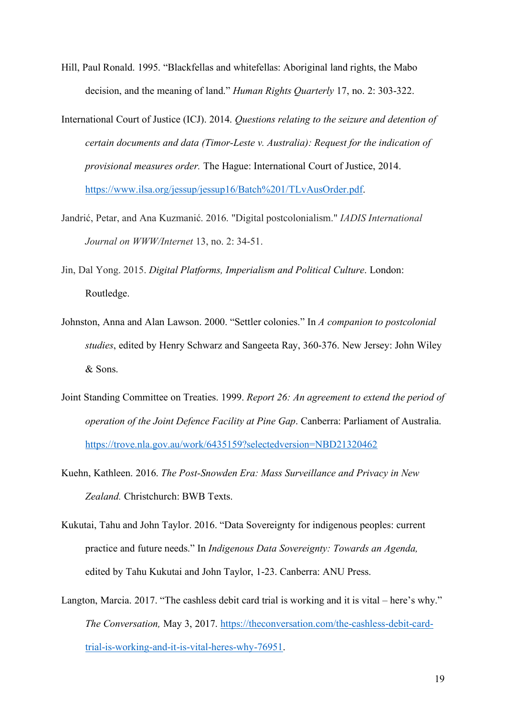- Hill, Paul Ronald. 1995. "Blackfellas and whitefellas: Aboriginal land rights, the Mabo decision, and the meaning of land." *Human Rights Quarterly* 17, no. 2: 303-322.
- International Court of Justice (ICJ). 2014. *Questions relating to the seizure and detention of certain documents and data (Timor-Leste v. Australia): Request for the indication of provisional measures order.* The Hague: International Court of Justice, 2014. https://www.ilsa.org/jessup/jessup16/Batch%201/TLvAusOrder.pdf.
- Jandrić, Petar, and Ana Kuzmanić. 2016. "Digital postcolonialism." *IADIS International Journal on WWW/Internet* 13, no. 2: 34-51.
- Jin, Dal Yong. 2015. *Digital Platforms, Imperialism and Political Culture*. London: Routledge.
- Johnston, Anna and Alan Lawson. 2000. "Settler colonies." In *A companion to postcolonial studies*, edited by Henry Schwarz and Sangeeta Ray, 360-376. New Jersey: John Wiley & Sons.
- Joint Standing Committee on Treaties. 1999. *Report 26: An agreement to extend the period of operation of the Joint Defence Facility at Pine Gap*. Canberra: Parliament of Australia. https://trove.nla.gov.au/work/6435159?selectedversion=NBD21320462
- Kuehn, Kathleen. 2016. *The Post-Snowden Era: Mass Surveillance and Privacy in New Zealand.* Christchurch: BWB Texts.
- Kukutai, Tahu and John Taylor. 2016. "Data Sovereignty for indigenous peoples: current practice and future needs." In *Indigenous Data Sovereignty: Towards an Agenda,*  edited by Tahu Kukutai and John Taylor, 1-23. Canberra: ANU Press.
- Langton, Marcia. 2017. "The cashless debit card trial is working and it is vital here's why." *The Conversation,* May 3, 2017. https://theconversation.com/the-cashless-debit-cardtrial-is-working-and-it-is-vital-heres-why-76951.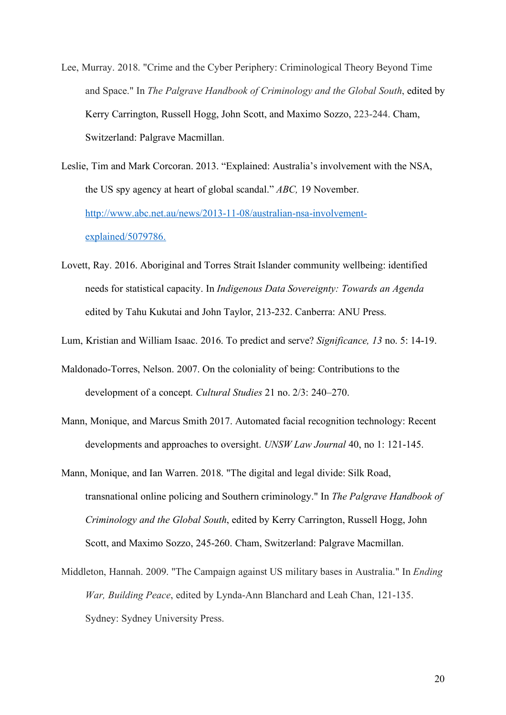- Lee, Murray. 2018. "Crime and the Cyber Periphery: Criminological Theory Beyond Time and Space." In *The Palgrave Handbook of Criminology and the Global South*, edited by Kerry Carrington, Russell Hogg, John Scott, and Maximo Sozzo, 223-244. Cham, Switzerland: Palgrave Macmillan.
- Leslie, Tim and Mark Corcoran. 2013. "Explained: Australia's involvement with the NSA, the US spy agency at heart of global scandal." *ABC,* 19 November. http://www.abc.net.au/news/2013-11-08/australian-nsa-involvementexplained/5079786.
- Lovett, Ray. 2016. Aboriginal and Torres Strait Islander community wellbeing: identified needs for statistical capacity. In *Indigenous Data Sovereignty: Towards an Agenda*  edited by Tahu Kukutai and John Taylor, 213-232. Canberra: ANU Press.
- Lum, Kristian and William Isaac. 2016. To predict and serve? *Significance, 13* no. 5: 14-19.
- Maldonado-Torres, Nelson. 2007. On the coloniality of being: Contributions to the development of a concept. *Cultural Studies* 21 no. 2/3: 240–270.
- Mann, Monique, and Marcus Smith 2017. Automated facial recognition technology: Recent developments and approaches to oversight. *UNSW Law Journal* 40, no 1: 121-145.
- Mann, Monique, and Ian Warren. 2018. "The digital and legal divide: Silk Road, transnational online policing and Southern criminology." In *The Palgrave Handbook of Criminology and the Global South*, edited by Kerry Carrington, Russell Hogg, John Scott, and Maximo Sozzo, 245-260. Cham, Switzerland: Palgrave Macmillan.
- Middleton, Hannah. 2009. "The Campaign against US military bases in Australia." In *Ending War, Building Peace*, edited by Lynda-Ann Blanchard and Leah Chan, 121-135. Sydney: Sydney University Press.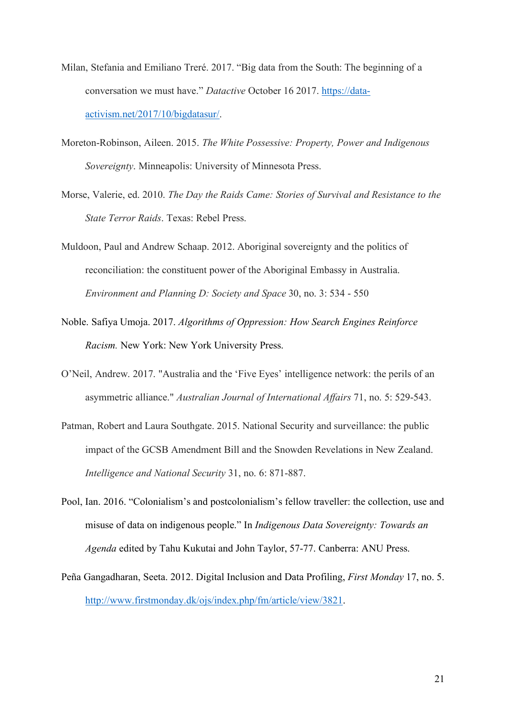- Milan, Stefania and Emiliano Treré. 2017. "Big data from the South: The beginning of a conversation we must have." *Datactive* October 16 2017. https://dataactivism.net/2017/10/bigdatasur/.
- Moreton-Robinson, Aileen. 2015. *The White Possessive: Property, Power and Indigenous Sovereignty*. Minneapolis: University of Minnesota Press.
- Morse, Valerie, ed. 2010. *The Day the Raids Came: Stories of Survival and Resistance to the State Terror Raids*. Texas: Rebel Press.
- Muldoon, Paul and Andrew Schaap. 2012. Aboriginal sovereignty and the politics of reconciliation: the constituent power of the Aboriginal Embassy in Australia. *Environment and Planning D: Society and Space* 30, no. 3: 534 - 550
- Noble. Safiya Umoja. 2017. *Algorithms of Oppression: How Search Engines Reinforce Racism.* New York: New York University Press.
- O'Neil, Andrew. 2017. "Australia and the 'Five Eyes' intelligence network: the perils of an asymmetric alliance." *Australian Journal of International Affairs* 71, no. 5: 529-543.
- Patman, Robert and Laura Southgate. 2015. National Security and surveillance: the public impact of the GCSB Amendment Bill and the Snowden Revelations in New Zealand. *Intelligence and National Security* 31, no. 6: 871-887.
- Pool, Ian. 2016. "Colonialism's and postcolonialism's fellow traveller: the collection, use and misuse of data on indigenous people." In *Indigenous Data Sovereignty: Towards an Agenda* edited by Tahu Kukutai and John Taylor, 57-77. Canberra: ANU Press.
- Peña Gangadharan, Seeta. 2012. Digital Inclusion and Data Profiling, *First Monday* 17, no. 5. http://www.firstmonday.dk/ojs/index.php/fm/article/view/3821.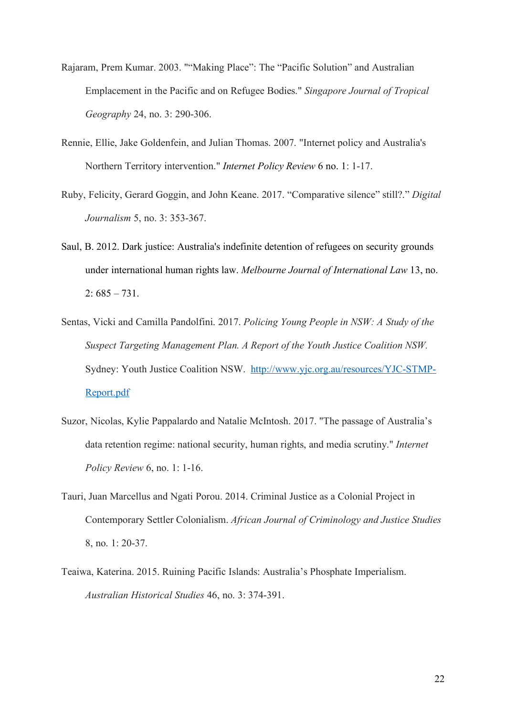- Rajaram, Prem Kumar. 2003. ""Making Place": The "Pacific Solution" and Australian Emplacement in the Pacific and on Refugee Bodies." *Singapore Journal of Tropical Geography* 24, no. 3: 290-306.
- Rennie, Ellie, Jake Goldenfein, and Julian Thomas. 2007. "Internet policy and Australia's Northern Territory intervention." *Internet Policy Review* 6 no. 1: 1-17.
- Ruby, Felicity, Gerard Goggin, and John Keane. 2017. "Comparative silence" still?." *Digital Journalism* 5, no. 3: 353-367.
- Saul, B. 2012. Dark justice: Australia's indefinite detention of refugees on security grounds under international human rights law. *Melbourne Journal of International Law* 13, no.  $2 \cdot 685 - 731$
- Sentas, Vicki and Camilla Pandolfini. 2017. *Policing Young People in NSW: A Study of the Suspect Targeting Management Plan. A Report of the Youth Justice Coalition NSW.*  Sydney: Youth Justice Coalition NSW. http://www.yjc.org.au/resources/YJC-STMP-Report.pdf
- Suzor, Nicolas, Kylie Pappalardo and Natalie McIntosh. 2017. "The passage of Australia's data retention regime: national security, human rights, and media scrutiny." *Internet Policy Review* 6, no. 1: 1-16.
- Tauri, Juan Marcellus and Ngati Porou. 2014. Criminal Justice as a Colonial Project in Contemporary Settler Colonialism. *African Journal of Criminology and Justice Studies* 8, no. 1: 20-37.
- Teaiwa, Katerina. 2015. Ruining Pacific Islands: Australia's Phosphate Imperialism. *Australian Historical Studies* 46, no. 3: 374-391.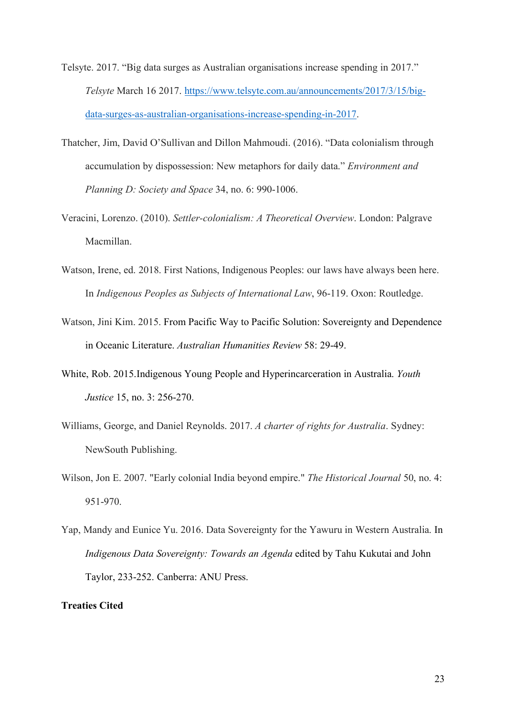- Telsyte. 2017. "Big data surges as Australian organisations increase spending in 2017." *Telsyte* March 16 2017. https://www.telsyte.com.au/announcements/2017/3/15/bigdata-surges-as-australian-organisations-increase-spending-in-2017.
- Thatcher, Jim, David O'Sullivan and Dillon Mahmoudi. (2016). "Data colonialism through accumulation by dispossession: New metaphors for daily data." *Environment and Planning D: Society and Space* 34, no. 6: 990-1006.
- Veracini, Lorenzo. (2010). *Settler-colonialism: A Theoretical Overview*. London: Palgrave Macmillan.
- Watson, Irene, ed. 2018. First Nations, Indigenous Peoples: our laws have always been here. In *Indigenous Peoples as Subjects of International Law*, 96-119. Oxon: Routledge.
- Watson, Jini Kim. 2015. From Pacific Way to Pacific Solution: Sovereignty and Dependence in Oceanic Literature. *Australian Humanities Review* 58: 29-49.
- White, Rob. 2015.Indigenous Young People and Hyperincarceration in Australia. *Youth Justice* 15, no. 3: 256-270.
- Williams, George, and Daniel Reynolds. 2017. *A charter of rights for Australia*. Sydney: NewSouth Publishing.
- Wilson, Jon E. 2007. "Early colonial India beyond empire." *The Historical Journal* 50, no. 4: 951-970.
- Yap, Mandy and Eunice Yu. 2016. Data Sovereignty for the Yawuru in Western Australia. In *Indigenous Data Sovereignty: Towards an Agenda* edited by Tahu Kukutai and John Taylor, 233-252. Canberra: ANU Press.

# **Treaties Cited**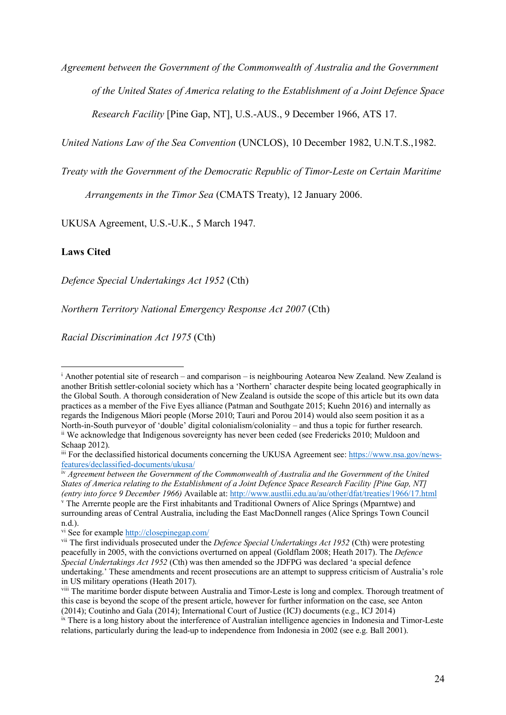*Agreement between the Government of the Commonwealth of Australia and the Government of the United States of America relating to the Establishment of a Joint Defence Space Research Facility* [Pine Gap, NT], U.S.-AUS., 9 December 1966, ATS 17.

*United Nations Law of the Sea Convention* (UNCLOS), 10 December 1982, U.N.T.S.,1982.

*Treaty with the Government of the Democratic Republic of Timor-Leste on Certain Maritime* 

*Arrangements in the Timor Sea* (CMATS Treaty), 12 January 2006.

UKUSA Agreement, U.S.-U.K., 5 March 1947.

## **Laws Cited**

 $\overline{a}$ 

*Defence Special Undertakings Act 1952* (Cth)

*Northern Territory National Emergency Response Act 2007* (Cth)

*Racial Discrimination Act 1975* (Cth)

<sup>&</sup>lt;sup>i</sup> Another potential site of research – and comparison – is neighbouring Aotearoa New Zealand. New Zealand is another British settler-colonial society which has a 'Northern' character despite being located geographically in the Global South. A thorough consideration of New Zealand is outside the scope of this article but its own data practices as a member of the Five Eyes alliance (Patman and Southgate 2015; Kuehn 2016) and internally as regards the Indigenous Māori people (Morse 2010; Tauri and Porou 2014) would also seem position it as a North-in-South purveyor of 'double' digital colonialism/coloniality – and thus a topic for further research. ii We acknowledge that Indigenous sovereignty has never been ceded (see Fredericks 2010; Muldoon and Schaap 2012).

iii For the declassified historical documents concerning the UKUSA Agreement see: https://www.nsa.gov/newsfeatures/declassified-documents/ukusa/

iv *Agreement between the Government of the Commonwealth of Australia and the Government of the United States of America relating to the Establishment of a Joint Defence Space Research Facility [Pine Gap, NT] (entry into force 9 December 1966)* Available at: http://www.austlii.edu.au/au/other/dfat/treaties/1966/17.html

<sup>v</sup> The Arrernte people are the First inhabitants and Traditional Owners of Alice Springs (Mparntwe) and surrounding areas of Central Australia, including the East MacDonnell ranges (Alice Springs Town Council n.d.).

vi See for example http://closepinegap.com/

vii The first individuals prosecuted under the *Defence Special Undertakings Act 1952* (Cth) were protesting peacefully in 2005, with the convictions overturned on appeal (Goldflam 2008; Heath 2017). The *Defence Special Undertakings Act 1952* (Cth) was then amended so the JDFPG was declared 'a special defence undertaking.' These amendments and recent prosecutions are an attempt to suppress criticism of Australia's role in US military operations (Heath 2017).

viii The maritime border dispute between Australia and Timor-Leste is long and complex. Thorough treatment of this case is beyond the scope of the present article, however for further information on the case, see Anton (2014); Coutinho and Gala (2014); International Court of Justice (ICJ) documents (e.g., ICJ 2014)

IX There is a long history about the interference of Australian intelligence agencies in Indonesia and Timor-Leste relations, particularly during the lead-up to independence from Indonesia in 2002 (see e.g. Ball 2001).